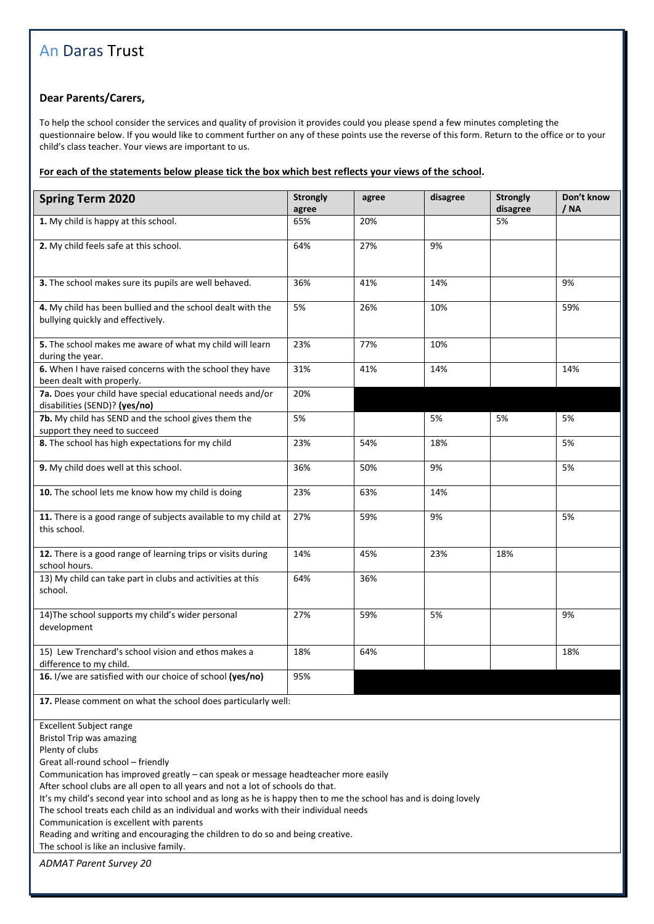## An Daras Trust

## **Dear Parents/Carers,**

To help the school consider the services and quality of provision it provides could you please spend a few minutes completing the questionnaire below. If you would like to comment further on any of these points use the reverse of this form. Return to the office or to your child's class teacher. Your views are important to us.

## **For each of the statements below please tick the box which best reflects your views of the school.**

| <b>Spring Term 2020</b>                                                                                                                                                                                                                                                                                                                                                                                                                                                                                                                                                                                                                                                            | <b>Strongly</b><br>agree | agree | disagree | <b>Strongly</b><br>disagree | Don't know<br>/ NA |  |
|------------------------------------------------------------------------------------------------------------------------------------------------------------------------------------------------------------------------------------------------------------------------------------------------------------------------------------------------------------------------------------------------------------------------------------------------------------------------------------------------------------------------------------------------------------------------------------------------------------------------------------------------------------------------------------|--------------------------|-------|----------|-----------------------------|--------------------|--|
| 1. My child is happy at this school.                                                                                                                                                                                                                                                                                                                                                                                                                                                                                                                                                                                                                                               | 65%                      | 20%   |          | 5%                          |                    |  |
| 2. My child feels safe at this school.                                                                                                                                                                                                                                                                                                                                                                                                                                                                                                                                                                                                                                             | 64%                      | 27%   | 9%       |                             |                    |  |
| 3. The school makes sure its pupils are well behaved.                                                                                                                                                                                                                                                                                                                                                                                                                                                                                                                                                                                                                              | 36%                      | 41%   | 14%      |                             | 9%                 |  |
| 4. My child has been bullied and the school dealt with the<br>bullying quickly and effectively.                                                                                                                                                                                                                                                                                                                                                                                                                                                                                                                                                                                    | 5%                       | 26%   | 10%      |                             | 59%                |  |
| 5. The school makes me aware of what my child will learn<br>during the year.                                                                                                                                                                                                                                                                                                                                                                                                                                                                                                                                                                                                       | 23%                      | 77%   | 10%      |                             |                    |  |
| 6. When I have raised concerns with the school they have<br>been dealt with properly.                                                                                                                                                                                                                                                                                                                                                                                                                                                                                                                                                                                              | 31%                      | 41%   | 14%      |                             | 14%                |  |
| 7a. Does your child have special educational needs and/or<br>disabilities (SEND)? (yes/no)                                                                                                                                                                                                                                                                                                                                                                                                                                                                                                                                                                                         | 20%                      |       |          |                             |                    |  |
| 7b. My child has SEND and the school gives them the<br>support they need to succeed                                                                                                                                                                                                                                                                                                                                                                                                                                                                                                                                                                                                | 5%                       |       | 5%       | 5%                          | 5%                 |  |
| 8. The school has high expectations for my child                                                                                                                                                                                                                                                                                                                                                                                                                                                                                                                                                                                                                                   | 23%                      | 54%   | 18%      |                             | 5%                 |  |
| 9. My child does well at this school.                                                                                                                                                                                                                                                                                                                                                                                                                                                                                                                                                                                                                                              | 36%                      | 50%   | 9%       |                             | 5%                 |  |
| 10. The school lets me know how my child is doing                                                                                                                                                                                                                                                                                                                                                                                                                                                                                                                                                                                                                                  | 23%                      | 63%   | 14%      |                             |                    |  |
| 11. There is a good range of subjects available to my child at<br>this school.                                                                                                                                                                                                                                                                                                                                                                                                                                                                                                                                                                                                     | 27%                      | 59%   | 9%       |                             | 5%                 |  |
| 12. There is a good range of learning trips or visits during<br>school hours.                                                                                                                                                                                                                                                                                                                                                                                                                                                                                                                                                                                                      | 14%                      | 45%   | 23%      | 18%                         |                    |  |
| 13) My child can take part in clubs and activities at this<br>school.                                                                                                                                                                                                                                                                                                                                                                                                                                                                                                                                                                                                              | 64%                      | 36%   |          |                             |                    |  |
| 14) The school supports my child's wider personal<br>development                                                                                                                                                                                                                                                                                                                                                                                                                                                                                                                                                                                                                   | 27%                      | 59%   | 5%       |                             | 9%                 |  |
| 15) Lew Trenchard's school vision and ethos makes a<br>difference to my child.                                                                                                                                                                                                                                                                                                                                                                                                                                                                                                                                                                                                     | 18%                      | 64%   |          |                             | 18%                |  |
| 16. I/we are satisfied with our choice of school (yes/no)                                                                                                                                                                                                                                                                                                                                                                                                                                                                                                                                                                                                                          | 95%                      |       |          |                             |                    |  |
| 17. Please comment on what the school does particularly well:                                                                                                                                                                                                                                                                                                                                                                                                                                                                                                                                                                                                                      |                          |       |          |                             |                    |  |
| <b>Excellent Subject range</b><br><b>Bristol Trip was amazing</b><br>Plenty of clubs<br>Great all-round school - friendly<br>Communication has improved greatly - can speak or message headteacher more easily<br>After school clubs are all open to all years and not a lot of schools do that.<br>It's my child's second year into school and as long as he is happy then to me the school has and is doing lovely<br>The school treats each child as an individual and works with their individual needs<br>Communication is excellent with parents<br>Reading and writing and encouraging the children to do so and being creative.<br>The school is like an inclusive family. |                          |       |          |                             |                    |  |